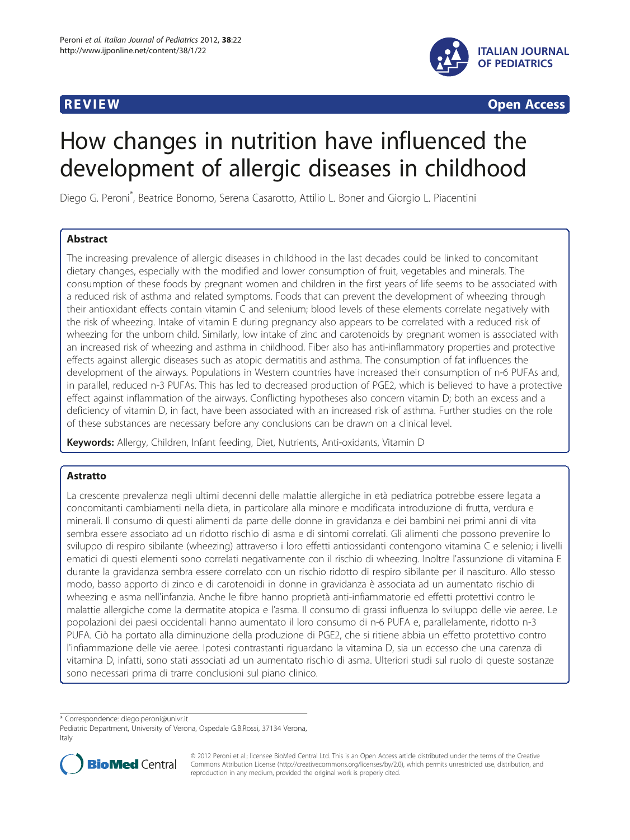

**REVIEW REVIEW CONSTRUCTER ACCESS** 

# How changes in nutrition have influenced the development of allergic diseases in childhood

Diego G. Peroni<sup>\*</sup>, Beatrice Bonomo, Serena Casarotto, Attilio L. Boner and Giorgio L. Piacentini

# Abstract

The increasing prevalence of allergic diseases in childhood in the last decades could be linked to concomitant dietary changes, especially with the modified and lower consumption of fruit, vegetables and minerals. The consumption of these foods by pregnant women and children in the first years of life seems to be associated with a reduced risk of asthma and related symptoms. Foods that can prevent the development of wheezing through their antioxidant effects contain vitamin C and selenium; blood levels of these elements correlate negatively with the risk of wheezing. Intake of vitamin E during pregnancy also appears to be correlated with a reduced risk of wheezing for the unborn child. Similarly, low intake of zinc and carotenoids by pregnant women is associated with an increased risk of wheezing and asthma in childhood. Fiber also has anti-inflammatory properties and protective effects against allergic diseases such as atopic dermatitis and asthma. The consumption of fat influences the development of the airways. Populations in Western countries have increased their consumption of n-6 PUFAs and, in parallel, reduced n-3 PUFAs. This has led to decreased production of PGE2, which is believed to have a protective effect against inflammation of the airways. Conflicting hypotheses also concern vitamin D; both an excess and a deficiency of vitamin D, in fact, have been associated with an increased risk of asthma. Further studies on the role of these substances are necessary before any conclusions can be drawn on a clinical level.

Keywords: Allergy, Children, Infant feeding, Diet, Nutrients, Anti-oxidants, Vitamin D

# Astratto

La crescente prevalenza negli ultimi decenni delle malattie allergiche in età pediatrica potrebbe essere legata a concomitanti cambiamenti nella dieta, in particolare alla minore e modificata introduzione di frutta, verdura e minerali. Il consumo di questi alimenti da parte delle donne in gravidanza e dei bambini nei primi anni di vita sembra essere associato ad un ridotto rischio di asma e di sintomi correlati. Gli alimenti che possono prevenire lo sviluppo di respiro sibilante (wheezing) attraverso i loro effetti antiossidanti contengono vitamina C e selenio; i livelli ematici di questi elementi sono correlati negativamente con il rischio di wheezing. Inoltre l'assunzione di vitamina E durante la gravidanza sembra essere correlato con un rischio ridotto di respiro sibilante per il nascituro. Allo stesso modo, basso apporto di zinco e di carotenoidi in donne in gravidanza è associata ad un aumentato rischio di wheezing e asma nell'infanzia. Anche le fibre hanno proprietà anti-infiammatorie ed effetti protettivi contro le malattie allergiche come la dermatite atopica e l'asma. Il consumo di grassi influenza lo sviluppo delle vie aeree. Le popolazioni dei paesi occidentali hanno aumentato il loro consumo di n-6 PUFA e, parallelamente, ridotto n-3 PUFA. Ciò ha portato alla diminuzione della produzione di PGE2, che si ritiene abbia un effetto protettivo contro l'infiammazione delle vie aeree. Ipotesi contrastanti riguardano la vitamina D, sia un eccesso che una carenza di vitamina D, infatti, sono stati associati ad un aumentato rischio di asma. Ulteriori studi sul ruolo di queste sostanze sono necessari prima di trarre conclusioni sul piano clinico.

\* Correspondence: [diego.peroni@univr.it](mailto:diego.peroni@univr.it)

Pediatric Department, University of Verona, Ospedale G.B.Rossi, 37134 Verona, Italy



© 2012 Peroni et al.; licensee BioMed Central Ltd. This is an Open Access article distributed under the terms of the Creative Commons Attribution License [\(http://creativecommons.org/licenses/by/2.0\)](http://creativecommons.org/licenses/by/2.0), which permits unrestricted use, distribution, and reproduction in any medium, provided the original work is properly cited.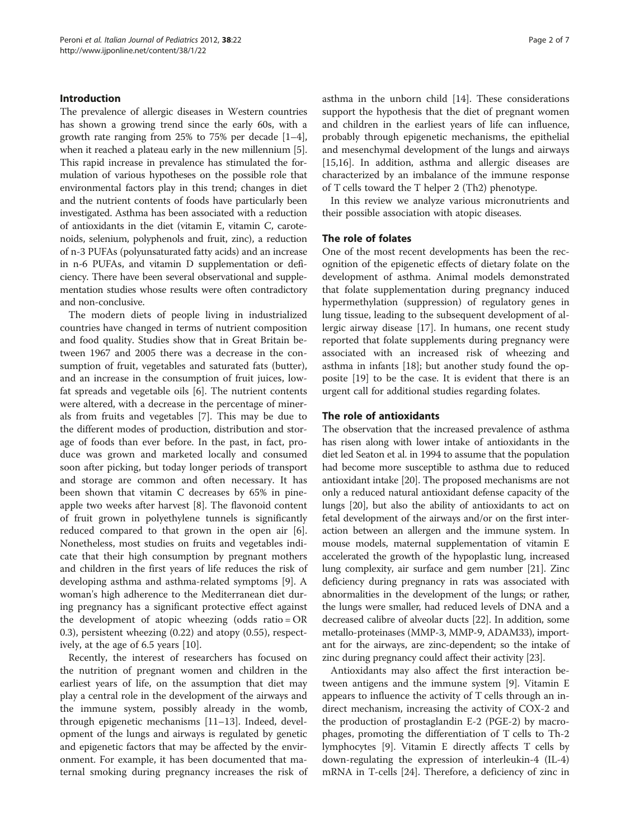# Introduction

The prevalence of allergic diseases in Western countries has shown a growing trend since the early 60s, with a growth rate ranging from 25% to 75% per decade [[1](#page-4-0)–[4](#page-4-0)], when it reached a plateau early in the new millennium [[5](#page-4-0)]. This rapid increase in prevalence has stimulated the formulation of various hypotheses on the possible role that environmental factors play in this trend; changes in diet and the nutrient contents of foods have particularly been investigated. Asthma has been associated with a reduction of antioxidants in the diet (vitamin E, vitamin C, carotenoids, selenium, polyphenols and fruit, zinc), a reduction of n-3 PUFAs (polyunsaturated fatty acids) and an increase in n-6 PUFAs, and vitamin D supplementation or deficiency. There have been several observational and supplementation studies whose results were often contradictory and non-conclusive.

The modern diets of people living in industrialized countries have changed in terms of nutrient composition and food quality. Studies show that in Great Britain between 1967 and 2005 there was a decrease in the consumption of fruit, vegetables and saturated fats (butter), and an increase in the consumption of fruit juices, lowfat spreads and vegetable oils [\[6](#page-4-0)]. The nutrient contents were altered, with a decrease in the percentage of minerals from fruits and vegetables [\[7](#page-4-0)]. This may be due to the different modes of production, distribution and storage of foods than ever before. In the past, in fact, produce was grown and marketed locally and consumed soon after picking, but today longer periods of transport and storage are common and often necessary. It has been shown that vitamin C decreases by 65% in pineapple two weeks after harvest [[8\]](#page-4-0). The flavonoid content of fruit grown in polyethylene tunnels is significantly reduced compared to that grown in the open air [\[6](#page-4-0)]. Nonetheless, most studies on fruits and vegetables indicate that their high consumption by pregnant mothers and children in the first years of life reduces the risk of developing asthma and asthma-related symptoms [[9\]](#page-4-0). A woman's high adherence to the Mediterranean diet during pregnancy has a significant protective effect against the development of atopic wheezing (odds ratio = OR 0.3), persistent wheezing (0.22) and atopy (0.55), respectively, at the age of 6.5 years [[10](#page-4-0)].

Recently, the interest of researchers has focused on the nutrition of pregnant women and children in the earliest years of life, on the assumption that diet may play a central role in the development of the airways and the immune system, possibly already in the womb, through epigenetic mechanisms [[11](#page-4-0)–[13](#page-4-0)]. Indeed, development of the lungs and airways is regulated by genetic and epigenetic factors that may be affected by the environment. For example, it has been documented that maternal smoking during pregnancy increases the risk of

asthma in the unborn child [[14\]](#page-4-0). These considerations support the hypothesis that the diet of pregnant women and children in the earliest years of life can influence, probably through epigenetic mechanisms, the epithelial and mesenchymal development of the lungs and airways [[15,16\]](#page-4-0). In addition, asthma and allergic diseases are characterized by an imbalance of the immune response of T cells toward the T helper 2 (Th2) phenotype.

In this review we analyze various micronutrients and their possible association with atopic diseases.

### The role of folates

One of the most recent developments has been the recognition of the epigenetic effects of dietary folate on the development of asthma. Animal models demonstrated that folate supplementation during pregnancy induced hypermethylation (suppression) of regulatory genes in lung tissue, leading to the subsequent development of allergic airway disease [\[17](#page-4-0)]. In humans, one recent study reported that folate supplements during pregnancy were associated with an increased risk of wheezing and asthma in infants [[18\]](#page-4-0); but another study found the opposite [\[19\]](#page-4-0) to be the case. It is evident that there is an urgent call for additional studies regarding folates.

### The role of antioxidants

The observation that the increased prevalence of asthma has risen along with lower intake of antioxidants in the diet led Seaton et al. in 1994 to assume that the population had become more susceptible to asthma due to reduced antioxidant intake [[20](#page-4-0)]. The proposed mechanisms are not only a reduced natural antioxidant defense capacity of the lungs [\[20](#page-4-0)], but also the ability of antioxidants to act on fetal development of the airways and/or on the first interaction between an allergen and the immune system. In mouse models, maternal supplementation of vitamin E accelerated the growth of the hypoplastic lung, increased lung complexity, air surface and gem number [[21](#page-4-0)]. Zinc deficiency during pregnancy in rats was associated with abnormalities in the development of the lungs; or rather, the lungs were smaller, had reduced levels of DNA and a decreased calibre of alveolar ducts [[22](#page-4-0)]. In addition, some metallo-proteinases (MMP-3, MMP-9, ADAM33), important for the airways, are zinc-dependent; so the intake of zinc during pregnancy could affect their activity [[23](#page-4-0)].

Antioxidants may also affect the first interaction between antigens and the immune system [\[9](#page-4-0)]. Vitamin E appears to influence the activity of T cells through an indirect mechanism, increasing the activity of COX-2 and the production of prostaglandin E-2 (PGE-2) by macrophages, promoting the differentiation of T cells to Th-2 lymphocytes [\[9\]](#page-4-0). Vitamin E directly affects T cells by down-regulating the expression of interleukin-4 (IL-4) mRNA in T-cells [\[24](#page-4-0)]. Therefore, a deficiency of zinc in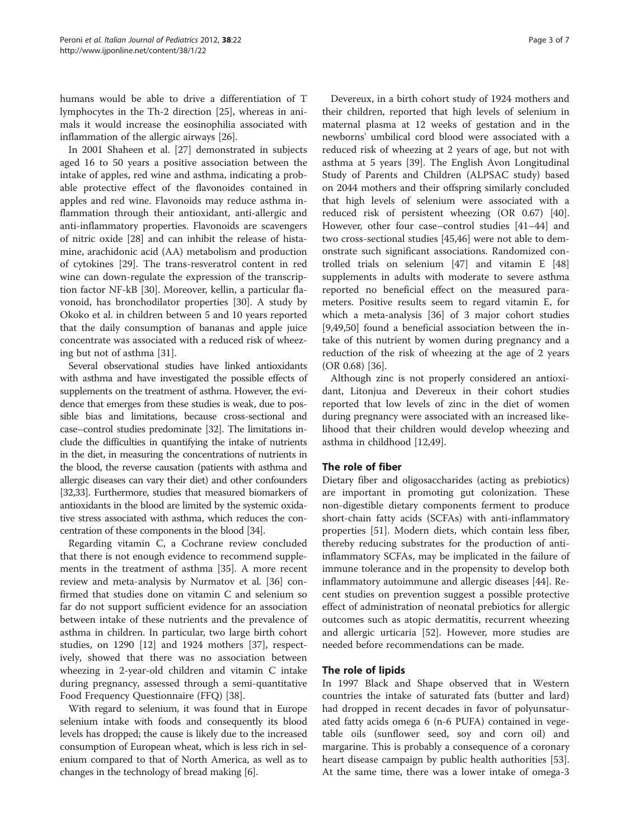humans would be able to drive a differentiation of T lymphocytes in the Th-2 direction [\[25\]](#page-4-0), whereas in animals it would increase the eosinophilia associated with inflammation of the allergic airways [[26](#page-4-0)].

In 2001 Shaheen et al. [\[27\]](#page-4-0) demonstrated in subjects aged 16 to 50 years a positive association between the intake of apples, red wine and asthma, indicating a probable protective effect of the flavonoides contained in apples and red wine. Flavonoids may reduce asthma inflammation through their antioxidant, anti-allergic and anti-inflammatory properties. Flavonoids are scavengers of nitric oxide [\[28\]](#page-4-0) and can inhibit the release of histamine, arachidonic acid (AA) metabolism and production of cytokines [[29](#page-4-0)]. The trans-resveratrol content in red wine can down-regulate the expression of the transcription factor NF-kB [\[30](#page-4-0)]. Moreover, kellin, a particular flavonoid, has bronchodilator properties [[30](#page-4-0)]. A study by Okoko et al. in children between 5 and 10 years reported that the daily consumption of bananas and apple juice concentrate was associated with a reduced risk of wheezing but not of asthma [[31\]](#page-5-0).

Several observational studies have linked antioxidants with asthma and have investigated the possible effects of supplements on the treatment of asthma. However, the evidence that emerges from these studies is weak, due to possible bias and limitations, because cross-sectional and case–control studies predominate [\[32\]](#page-5-0). The limitations include the difficulties in quantifying the intake of nutrients in the diet, in measuring the concentrations of nutrients in the blood, the reverse causation (patients with asthma and allergic diseases can vary their diet) and other confounders [[32,33\]](#page-5-0). Furthermore, studies that measured biomarkers of antioxidants in the blood are limited by the systemic oxidative stress associated with asthma, which reduces the concentration of these components in the blood [\[34\]](#page-5-0).

Regarding vitamin C, a Cochrane review concluded that there is not enough evidence to recommend supplements in the treatment of asthma [[35](#page-5-0)]. A more recent review and meta-analysis by Nurmatov et al. [[36\]](#page-5-0) confirmed that studies done on vitamin C and selenium so far do not support sufficient evidence for an association between intake of these nutrients and the prevalence of asthma in children. In particular, two large birth cohort studies, on 1290 [[12\]](#page-4-0) and 1924 mothers [\[37\]](#page-5-0), respectively, showed that there was no association between wheezing in 2-year-old children and vitamin C intake during pregnancy, assessed through a semi-quantitative Food Frequency Questionnaire (FFQ) [[38](#page-5-0)].

With regard to selenium, it was found that in Europe selenium intake with foods and consequently its blood levels has dropped; the cause is likely due to the increased consumption of European wheat, which is less rich in selenium compared to that of North America, as well as to changes in the technology of bread making [\[6\]](#page-4-0).

Devereux, in a birth cohort study of 1924 mothers and their children, reported that high levels of selenium in maternal plasma at 12 weeks of gestation and in the newborns' umbilical cord blood were associated with a reduced risk of wheezing at 2 years of age, but not with asthma at 5 years [\[39\]](#page-5-0). The English Avon Longitudinal Study of Parents and Children (ALPSAC study) based on 2044 mothers and their offspring similarly concluded that high levels of selenium were associated with a reduced risk of persistent wheezing (OR 0.67) [\[40](#page-5-0)]. However, other four case–control studies [[41](#page-5-0)–[44](#page-5-0)] and two cross-sectional studies [\[45,46\]](#page-5-0) were not able to demonstrate such significant associations. Randomized controlled trials on selenium [[47\]](#page-5-0) and vitamin E [[48](#page-5-0)] supplements in adults with moderate to severe asthma reported no beneficial effect on the measured parameters. Positive results seem to regard vitamin E, for which a meta-analysis [[36](#page-5-0)] of 3 major cohort studies [[9,](#page-4-0)[49,50\]](#page-5-0) found a beneficial association between the intake of this nutrient by women during pregnancy and a reduction of the risk of wheezing at the age of 2 years (OR 0.68) [[36\]](#page-5-0).

Although zinc is not properly considered an antioxidant, Litonjua and Devereux in their cohort studies reported that low levels of zinc in the diet of women during pregnancy were associated with an increased likelihood that their children would develop wheezing and asthma in childhood [[12,](#page-4-0)[49\]](#page-5-0).

# The role of fiber

Dietary fiber and oligosaccharides (acting as prebiotics) are important in promoting gut colonization. These non-digestible dietary components ferment to produce short-chain fatty acids (SCFAs) with anti-inflammatory properties [\[51](#page-5-0)]. Modern diets, which contain less fiber, thereby reducing substrates for the production of antiinflammatory SCFAs, may be implicated in the failure of immune tolerance and in the propensity to develop both inflammatory autoimmune and allergic diseases [\[44](#page-5-0)]. Recent studies on prevention suggest a possible protective effect of administration of neonatal prebiotics for allergic outcomes such as atopic dermatitis, recurrent wheezing and allergic urticaria [\[52\]](#page-5-0). However, more studies are needed before recommendations can be made.

### The role of lipids

In 1997 Black and Shape observed that in Western countries the intake of saturated fats (butter and lard) had dropped in recent decades in favor of polyunsaturated fatty acids omega 6 (n-6 PUFA) contained in vegetable oils (sunflower seed, soy and corn oil) and margarine. This is probably a consequence of a coronary heart disease campaign by public health authorities [\[53](#page-5-0)]. At the same time, there was a lower intake of omega-3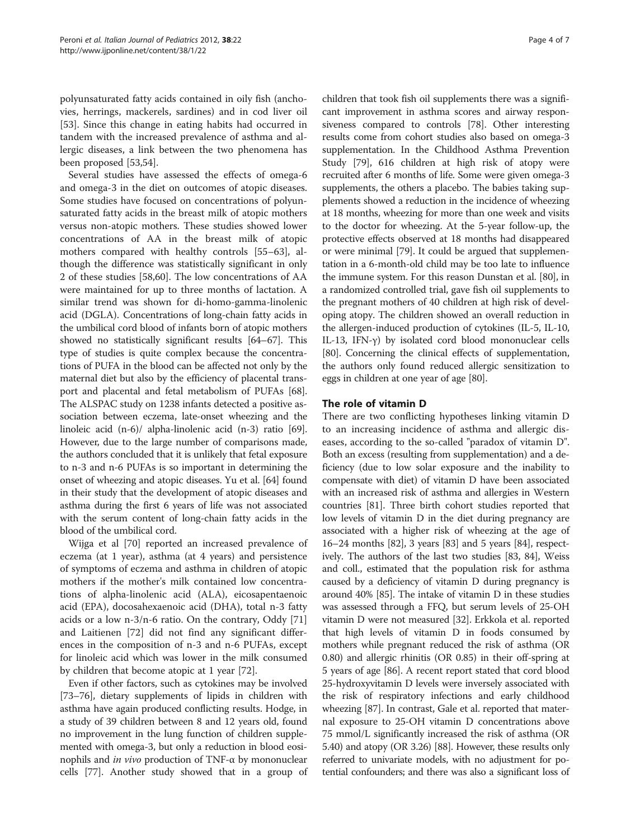polyunsaturated fatty acids contained in oily fish (anchovies, herrings, mackerels, sardines) and in cod liver oil [[53\]](#page-5-0). Since this change in eating habits had occurred in tandem with the increased prevalence of asthma and allergic diseases, a link between the two phenomena has been proposed [[53,54\]](#page-5-0).

Several studies have assessed the effects of omega-6 and omega-3 in the diet on outcomes of atopic diseases. Some studies have focused on concentrations of polyunsaturated fatty acids in the breast milk of atopic mothers versus non-atopic mothers. These studies showed lower concentrations of AA in the breast milk of atopic mothers compared with healthy controls [\[55](#page-5-0)–[63\]](#page-5-0), although the difference was statistically significant in only 2 of these studies [[58](#page-5-0),[60](#page-5-0)]. The low concentrations of AA were maintained for up to three months of lactation. A similar trend was shown for di-homo-gamma-linolenic acid (DGLA). Concentrations of long-chain fatty acids in the umbilical cord blood of infants born of atopic mothers showed no statistically significant results [\[64](#page-5-0)–[67](#page-5-0)]. This type of studies is quite complex because the concentrations of PUFA in the blood can be affected not only by the maternal diet but also by the efficiency of placental transport and placental and fetal metabolism of PUFAs [[68](#page-5-0)]. The ALSPAC study on 1238 infants detected a positive association between eczema, late-onset wheezing and the linoleic acid (n-6)/ alpha-linolenic acid (n-3) ratio [[69](#page-5-0)]. However, due to the large number of comparisons made, the authors concluded that it is unlikely that fetal exposure to n-3 and n-6 PUFAs is so important in determining the onset of wheezing and atopic diseases. Yu et al. [\[64](#page-5-0)] found in their study that the development of atopic diseases and asthma during the first 6 years of life was not associated with the serum content of long-chain fatty acids in the blood of the umbilical cord.

Wijga et al [\[70\]](#page-5-0) reported an increased prevalence of eczema (at 1 year), asthma (at 4 years) and persistence of symptoms of eczema and asthma in children of atopic mothers if the mother's milk contained low concentrations of alpha-linolenic acid (ALA), eicosapentaenoic acid (EPA), docosahexaenoic acid (DHA), total n-3 fatty acids or a low n-3/n-6 ratio. On the contrary, Oddy [[71](#page-5-0)] and Laitienen [\[72\]](#page-5-0) did not find any significant differences in the composition of n-3 and n-6 PUFAs, except for linoleic acid which was lower in the milk consumed by children that become atopic at 1 year [\[72](#page-5-0)].

Even if other factors, such as cytokines may be involved [[73](#page-5-0)–[76\]](#page-6-0), dietary supplements of lipids in children with asthma have again produced conflicting results. Hodge, in a study of 39 children between 8 and 12 years old, found no improvement in the lung function of children supplemented with omega-3, but only a reduction in blood eosinophils and in vivo production of TNF-α by mononuclear cells [\[77\]](#page-6-0). Another study showed that in a group of

children that took fish oil supplements there was a significant improvement in asthma scores and airway responsiveness compared to controls [\[78\]](#page-6-0). Other interesting results come from cohort studies also based on omega-3 supplementation. In the Childhood Asthma Prevention Study [[79\]](#page-6-0), 616 children at high risk of atopy were recruited after 6 months of life. Some were given omega-3 supplements, the others a placebo. The babies taking supplements showed a reduction in the incidence of wheezing at 18 months, wheezing for more than one week and visits to the doctor for wheezing. At the 5-year follow-up, the protective effects observed at 18 months had disappeared or were minimal [[79](#page-6-0)]. It could be argued that supplementation in a 6-month-old child may be too late to influence the immune system. For this reason Dunstan et al. [\[80\]](#page-6-0), in a randomized controlled trial, gave fish oil supplements to the pregnant mothers of 40 children at high risk of developing atopy. The children showed an overall reduction in the allergen-induced production of cytokines (IL-5, IL-10, IL-13, IFN-γ) by isolated cord blood mononuclear cells [[80](#page-6-0)]. Concerning the clinical effects of supplementation, the authors only found reduced allergic sensitization to eggs in children at one year of age [\[80\]](#page-6-0).

# The role of vitamin D

There are two conflicting hypotheses linking vitamin D to an increasing incidence of asthma and allergic diseases, according to the so-called "paradox of vitamin D". Both an excess (resulting from supplementation) and a deficiency (due to low solar exposure and the inability to compensate with diet) of vitamin D have been associated with an increased risk of asthma and allergies in Western countries [\[81\]](#page-6-0). Three birth cohort studies reported that low levels of vitamin D in the diet during pregnancy are associated with a higher risk of wheezing at the age of 16–24 months [\[82\]](#page-6-0), 3 years [\[83\]](#page-6-0) and 5 years [\[84\]](#page-6-0), respectively. The authors of the last two studies [[83](#page-6-0), [84\]](#page-6-0), Weiss and coll., estimated that the population risk for asthma caused by a deficiency of vitamin D during pregnancy is around 40% [[85](#page-6-0)]. The intake of vitamin D in these studies was assessed through a FFQ, but serum levels of 25-OH vitamin D were not measured [\[32\]](#page-5-0). Erkkola et al. reported that high levels of vitamin D in foods consumed by mothers while pregnant reduced the risk of asthma (OR 0.80) and allergic rhinitis (OR 0.85) in their off-spring at 5 years of age [\[86\]](#page-6-0). A recent report stated that cord blood 25-hydroxyvitamin D levels were inversely associated with the risk of respiratory infections and early childhood wheezing [[87](#page-6-0)]. In contrast, Gale et al. reported that maternal exposure to 25-OH vitamin D concentrations above 75 mmol/L significantly increased the risk of asthma (OR 5.40) and atopy (OR 3.26) [[88](#page-6-0)]. However, these results only referred to univariate models, with no adjustment for potential confounders; and there was also a significant loss of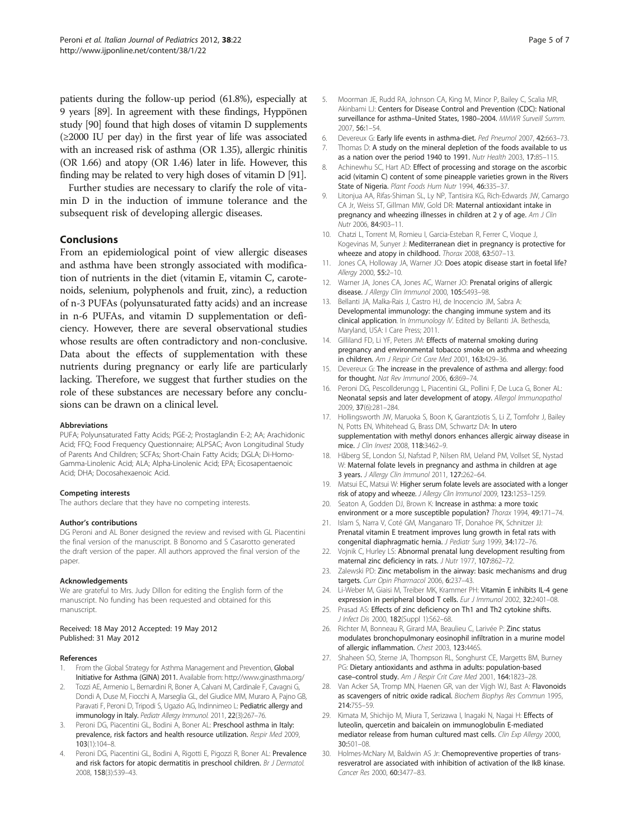<span id="page-4-0"></span>patients during the follow-up period (61.8%), especially at 9 years [[89](#page-6-0)]. In agreement with these findings, Hyppönen study [[90](#page-6-0)] found that high doses of vitamin D supplements (≥2000 IU per day) in the first year of life was associated with an increased risk of asthma (OR 1.35), allergic rhinitis (OR 1.66) and atopy (OR 1.46) later in life. However, this finding may be related to very high doses of vitamin D [\[91\]](#page-6-0).

Further studies are necessary to clarify the role of vitamin D in the induction of immune tolerance and the subsequent risk of developing allergic diseases.

# Conclusions

From an epidemiological point of view allergic diseases and asthma have been strongly associated with modification of nutrients in the diet (vitamin E, vitamin C, carotenoids, selenium, polyphenols and fruit, zinc), a reduction of n-3 PUFAs (polyunsaturated fatty acids) and an increase in n-6 PUFAs, and vitamin D supplementation or deficiency. However, there are several observational studies whose results are often contradictory and non-conclusive. Data about the effects of supplementation with these nutrients during pregnancy or early life are particularly lacking. Therefore, we suggest that further studies on the role of these substances are necessary before any conclusions can be drawn on a clinical level.

#### Abbreviations

PUFA; Polyunsaturated Fatty Acids; PGE-2; Prostaglandin E-2; AA; Arachidonic Acid; FFQ; Food Frequency Questionnaire; ALPSAC; Avon Longitudinal Study of Parents And Children; SCFAs; Short-Chain Fatty Acids; DGLA; Di-Homo-Gamma-Linolenic Acid; ALA; Alpha-Linolenic Acid; EPA; Eicosapentaenoic Acid; DHA; Docosahexaenoic Acid.

#### Competing interests

The authors declare that they have no competing interests.

#### Author's contributions

DG Peroni and AL Boner designed the review and revised with GL Piacentini the final version of the manuscript. B Bonomo and S Casarotto generated the draft version of the paper. All authors approved the final version of the paper.

#### Acknowledgements

We are grateful to Mrs. Judy Dillon for editing the English form of the manuscript. No funding has been requested and obtained for this manuscript.

#### Received: 18 May 2012 Accepted: 19 May 2012 Published: 31 May 2012

#### References

- From the Global Strategy for Asthma Management and Prevention, Global Initiative for Asthma (GINA) 2011. Available from:<http://www.ginasthma.org/>
- 2. Tozzi AE, Armenio L, Bernardini R, Boner A, Calvani M, Cardinale F, Cavagni G, Dondi A, Duse M, Fiocchi A, Marseglia GL, del Giudice MM, Muraro A, Pajno GB, Paravati F, Peroni D, Tripodi S, Ugazio AG, Indinnimeo L: Pediatric allergy and immunology in Italy. Pediatr Allergy Immunol. 2011, 22(3):267–76.
- Peroni DG, Piacentini GL, Bodini A, Boner AL: Preschool asthma in Italy: prevalence, risk factors and health resource utilization. Respir Med 2009, 103(1):104–8.
- Peroni DG, Piacentini GL, Bodini A, Rigotti E, Pigozzi R, Boner AL: Prevalence and risk factors for atopic dermatitis in preschool children. Br J Dermatol. 2008, 158(3):539–43.
- 5. Moorman JE, Rudd RA, Johnson CA, King M, Minor P, Bailey C, Scalia MR, Akinbami LJ: Centers for Disease Control and Prevention (CDC): National surveillance for asthma-United States, 1980-2004. MMWR Surveill Summ. 2007, 56:1–54.
- 6. Devereux G: Early life events in asthma-diet. Ped Pneumol 2007, 42:663–73.
- 7. Thomas D: A study on the mineral depletion of the foods available to us as a nation over the period 1940 to 1991. Nutr Health 2003, 17:85–115.
- 8. Achinewhu SC, Hart AD: Effect of processing and storage on the ascorbic acid (vitamin C) content of some pineapple varieties grown in the Rivers State of Nigeria. Plant Foods Hum Nutr 1994, 46:335–37.
- 9. Litonjua AA, Rifas-Shiman SL, Ly NP, Tantisira KG, Rich-Edwards JW, Camargo CA Jr, Weiss ST, Gillman MW, Gold DR: Maternal antioxidant intake in pregnancy and wheezing illnesses in children at 2 y of age. Am J Clin Nutr 2006, 84:903–11.
- 10. Chatzi L, Torrent M, Romieu I, Garcia-Esteban R, Ferrer C, Vioque J, Kogevinas M, Sunyer J: Mediterranean diet in pregnancy is protective for wheeze and atopy in childhood. Thorax 2008, 63:507–13.
- 11. Jones CA, Holloway JA, Warner JO: Does atopic disease start in foetal life? Allergy 2000, 55:2-10.
- 12. Warner JA, Jones CA, Jones AC, Warner JO: Prenatal origins of allergic disease. J Allergy Clin Immunol 2000, 105:S493–98.
- 13. Bellanti JA, Malka-Rais J, Castro HJ, de Inocencio JM, Sabra A: Developmental immunology: the changing immune system and its clinical application. In Immunology IV. Edited by Bellanti JA. Bethesda, Maryland, USA: I Care Press; 2011.
- 14. Gilliland FD, Li YF, Peters JM: Effects of maternal smoking during pregnancy and environmental tobacco smoke on asthma and wheezing in children. Am J Respir Crit Care Med 2001, 163:429-36.
- 15. Devereux G: The increase in the prevalence of asthma and allergy: food for thought. Nat Rev Immunol 2006, 6:869–74.
- 16. Peroni DG, Pescollderungg L, Piacentini GL, Pollini F, De Luca G, Boner AL: Neonatal sepsis and later development of atopy. Allergol Immunopathol 2009, 37(6):281–284.
- 17. Hollingsworth JW, Maruoka S, Boon K, Garantziotis S, Li Z, Tomfohr J, Bailey N, Potts EN, Whitehead G, Brass DM, Schwartz DA: In utero supplementation with methyl donors enhances allergic airway disease in mice. *J Clin Invest 2008*, 118:3462-9.
- 18. Håberg SE, London SJ, Nafstad P, Nilsen RM, Ueland PM, Vollset SE, Nystad W: Maternal folate levels in pregnancy and asthma in children at age 3 years. J Allergy Clin Immunol 2011, 127:262–64.
- 19. Matsui EC, Matsui W: Higher serum folate levels are associated with a longer risk of atopy and wheeze. J Allergy Clin Immunol 2009, 123:1253–1259.
- 20. Seaton A, Godden DJ, Brown K: Increase in asthma: a more toxic environment or a more susceptible population? Thorax 1994, 49:171-74.
- 21. Islam S, Narra V, Coté GM, Manganaro TF, Donahoe PK, Schnitzer JJ: Prenatal vitamin E treatment improves lung growth in fetal rats with congenital diaphragmatic hernia. J Pediatr Surg 1999, 34:172–76.
- 22. Vojnik C, Hurley LS: Abnormal prenatal lung development resulting from maternal zinc deficiency in rats. J Nutr 1977, 107:862-72.
- 23. Zalewski PD: Zinc metabolism in the airway: basic mechanisms and drug targets. Curr Opin Pharmacol 2006, 6:237-43.
- 24. Li-Weber M, Giaisi M, Treiber MK, Krammer PH: Vitamin E inhibits IL-4 gene expression in peripheral blood T cells. Eur J Immunol 2002, 32:2401–08.
- 25. Prasad AS: Effects of zinc deficiency on Th1 and Th2 cytokine shifts. J Infect Dis 2000, 182(Suppl 1):S62–68.
- 26. Richter M, Bonneau R, Girard MA, Beaulieu C, Larivée P: Zinc status modulates bronchopulmonary eosinophil infiltration in a murine model of allergic inflammation. Chest 2003, 123:446S.
- 27. Shaheen SO, Sterne JA, Thompson RL, Songhurst CE, Margetts BM, Burney PG: Dietary antioxidants and asthma in adults: population-based case–control study. Am J Respir Crit Care Med 2001, 164:1823–28.
- 28. Van Acker SA, Tromp MN, Haenen GR, van der Vijgh WJ, Bast A: Flavonoids as scavengers of nitric oxide radical. Biochem Biophys Res Commun 1995, 214:755–59.
- 29. Kimata M, Shichijo M, Miura T, Serizawa I, Inagaki N, Nagai H: Effects of luteolin, quercetin and baicalein on immunoglobulin E-mediated mediator release from human cultured mast cells. Clin Exp Allergy 2000, 30:501–08.
- 30. Holmes-McNary M, Baldwin AS Jr: Chemopreventive properties of transresveratrol are associated with inhibition of activation of the IkB kinase. Cancer Res 2000, 60:3477–83.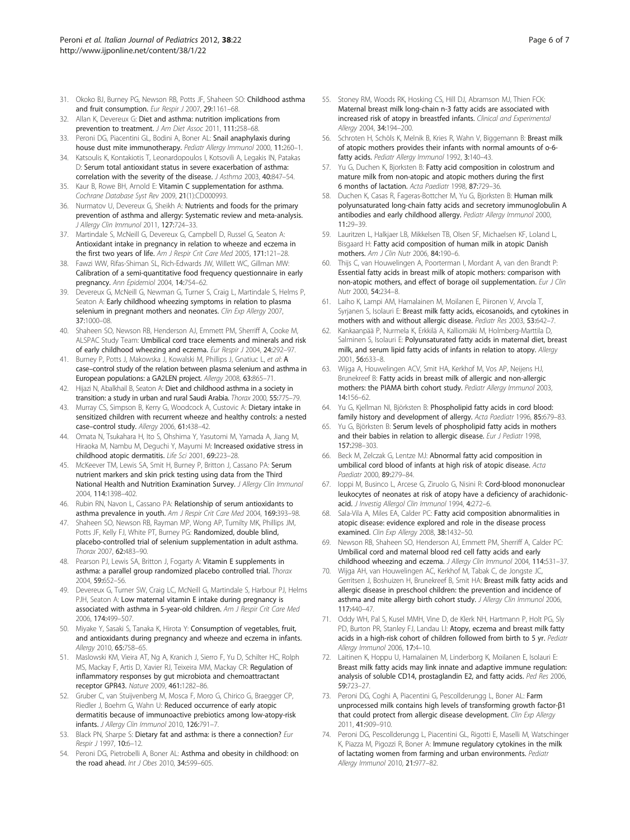- <span id="page-5-0"></span>31. Okoko BJ, Burney PG, Newson RB, Potts JF, Shaheen SO: Childhood asthma and fruit consumption. Eur Respir J 2007, 29:1161-68.
- 32. Allan K, Devereux G: Diet and asthma: nutrition implications from prevention to treatment. J Am Diet Assoc 2011, 111:258–68.
- 33. Peroni DG, Piacentini GL, Bodini A, Boner AL: Snail anaphylaxis during house dust mite immunotherapy. Pediatr Allergy Immunol 2000, 11:260–1.
- 34. Katsoulis K, Kontakiotis T, Leonardopoulos I, Kotsovili A, Legakis IN, Patakas D: Serum total antioxidant status in severe exacerbation of asthma: correlation with the severity of the disease. J Asthma 2003, 40:847–54.
- 35. Kaur B, Rowe BH, Arnold E: Vitamin C supplementation for asthma. Cochrane Database Syst Rev 2009, 21(1):CD000993.
- 36. Nurmatov U, Devereux G, Sheikh A: Nutrients and foods for the primary prevention of asthma and allergy: Systematic review and meta-analysis. J Allergy Clin Immunol 2011, 127:724–33.
- 37. Martindale S, McNeill G, Devereux G, Campbell D, Russel G, Seaton A: Antioxidant intake in pregnancy in relation to wheeze and eczema in the first two years of life. Am J Respir Crit Care Med 2005, 171:121-28.
- 38. Fawzi WW, Rifas-Shiman SL, Rich-Edwards JW, Willett WC, Gillman MW: Calibration of a semi-quantitative food frequency questionnaire in early pregnancy. Ann Epidemiol 2004, 14:754–62.
- 39. Devereux G, McNeill G, Newman G, Turner S, Craig L, Martindale S, Helms P, Seaton A: Early childhood wheezing symptoms in relation to plasma selenium in pregnant mothers and neonates. Clin Exp Allergy 2007, 37:1000–08.
- 40. Shaheen SO, Newson RB, Henderson AJ, Emmett PM, Sherriff A, Cooke M, ALSPAC Study Team: Umbilical cord trace elements and minerals and risk of early childhood wheezing and eczema. Eur Respir J 2004, 24:292–97.
- 41. Burney P, Potts J, Makowska J, Kowalski M, Phillips J, Gnatiuc L, et al: A case–control study of the relation between plasma selenium and asthma in European populations: a GA2LEN project. Allergy 2008, 63:865–71.
- 42. Hijazi N, Abalkhail B, Seaton A: Diet and childhood asthma in a society in transition: a study in urban and rural Saudi Arabia. Thorax 2000, 55:775–79.
- 43. Murray CS, Simpson B, Kerry G, Woodcock A, Custovic A: Dietary intake in sensitized children with recurrent wheeze and healthy controls: a nested case–control study. Allergy 2006, 61:438–42.
- 44. Omata N, Tsukahara H, Ito S, Ohshima Y, Yasutomi M, Yamada A, Jiang M, Hiraoka M, Nambu M, Deguchi Y, Mayumi M: Increased oxidative stress in childhood atopic dermatitis. Life Sci 2001, 69:223–28.
- 45. McKeever TM, Lewis SA, Smit H, Burney P, Britton J, Cassano PA: Serum nutrient markers and skin prick testing using data from the Third National Health and Nutrition Examination Survey. J Allergy Clin Immunol 2004, 114:1398–402.
- 46. Rubin RN, Navon L, Cassano PA: Relationship of serum antioxidants to asthma prevalence in youth. Am J Respir Crit Care Med 2004, 169:393-98.
- 47. Shaheen SO, Newson RB, Rayman MP, Wong AP, Tumilty MK, Phillips JM, Potts JF, Kelly FJ, White PT, Burney PG: Randomized, double blind, placebo-controlled trial of selenium supplementation in adult asthma. Thorax 2007, 62:483–90.
- 48. Pearson PJ, Lewis SA, Britton J, Fogarty A: Vitamin E supplements in asthma: a parallel group randomized placebo controlled trial. Thorax 2004, 59:652–56.
- 49. Devereux G, Turner SW, Craig LC, McNeill G, Martindale S, Harbour PJ, Helms PJH, Seaton A: Low maternal vitamin E intake during pregnancy is associated with asthma in 5-year-old children. Am J Respir Crit Care Med 2006, 174:499–507.
- 50. Miyake Y, Sasaki S, Tanaka K, Hirota Y: Consumption of vegetables, fruit, and antioxidants during pregnancy and wheeze and eczema in infants. Allergy 2010, 65:758–65.
- 51. Maslowski KM, Vieira AT, Ng A, Kranich J, Sierro F, Yu D, Schilter HC, Rolph MS, Mackay F, Artis D, Xavier RJ, Teixeira MM, Mackay CR: Regulation of inflammatory responses by gut microbiota and chemoattractant receptor GPR43. Nature 2009, 461:1282–86.
- 52. Gruber C, van Stuijvenberg M, Mosca F, Moro G, Chirico G, Braegger CP, Riedler J, Boehm G, Wahn U: Reduced occurrence of early atopic dermatitis because of immunoactive prebiotics among low-atopy-risk infants. J Allergy Clin Immunol 2010, 126:791–7.
- 53. Black PN, Sharpe S: Dietary fat and asthma: is there a connection? Eur Respir J 1997, 10:6–12.
- 54. Peroni DG, Pietrobelli A, Boner AL: Asthma and obesity in childhood: on the road ahead. Int J Obes 2010, 34:599-605.
- 55. Stoney RM, Woods RK, Hosking CS, Hill DJ, Abramson MJ, Thien FCK: Maternal breast milk long-chain n-3 fatty acids are associated with increased risk of atopy in breastfed infants. Clinical and Experimental Allergy 2004, 34:194-200.
- 56. Schroten H, Schöls K, Melnik B, Kries R, Wahn V, Biggemann B: Breast milk of atopic mothers provides their infants with normal amounts of o-6 fatty acids. Pediatr Allergy Immunol 1992, 3:140–43.
- 57. Yu G, Duchen K, Bjorksten B: Fatty acid composition in colostrum and mature milk from non-atopic and atopic mothers during the first 6 months of lactation. Acta Paediatr 1998, 87:729–36.
- 58. Duchen K, Casas R, Fageras-Bottcher M, Yu G, Bjorksten B: Human milk polyunsaturated long-chain fatty acids and secretory immunoglobulin A antibodies and early childhood allergy. Pediatr Allergy Immunol 2000, 11:29–39.
- 59. Lauritzen L, Halkjaer LB, Mikkelsen TB, Olsen SF, Michaelsen KF, Loland L, Bisgaard H: Fatty acid composition of human milk in atopic Danish mothers. Am J Clin Nutr 2006, 84:190–6.
- Thijs C, van Houwelingen A, Poorterman I, Mordant A, van den Brandt P: Essential fatty acids in breast milk of atopic mothers: comparison with non-atopic mothers, and effect of borage oil supplementation. Eur J Clin Nutr 2000, 54:234–8.
- 61. Laiho K, Lampi AM, Hamalainen M, Moilanen E, Piironen V, Arvola T, Syrjanen S, Isolauri E: Breast milk fatty acids, eicosanoids, and cytokines in mothers with and without allergic disease. Pediatr Res 2003, 53:642–7.
- 62. Kankaanpää P, Nurmela K, Erkkilä A, Kalliomäki M, Holmberg-Marttila D, Salminen S, Isolauri E: Polyunsaturated fatty acids in maternal diet, breast milk, and serum lipid fatty acids of infants in relation to atopy. Allergy 2001, 56:633–8.
- 63. Wijga A, Houwelingen ACV, Smit HA, Kerkhof M, Vos AP, Neijens HJ, Brunekreef B: Fatty acids in breast milk of allergic and non-allergic mothers: the PIAMA birth cohort study. Pediatr Allergy Immunol 2003, 14:156–62.
- 64. Yu G, Kjellman NI, Björksten B: Phospholipid fatty acids in cord blood: family history and development of allergy. Acta Paediatr 1996, 85:679–83.
- 65. Yu G, Björksten B: Serum levels of phospholipid fatty acids in mothers and their babies in relation to allergic disease. Eur J Pediatr 1998, 157:298–303.
- 66. Beck M, Zelczak G, Lentze MJ: Abnormal fatty acid composition in umbilical cord blood of infants at high risk of atopic disease. Acta Paediatr 2000, 89:279–84.
- 67. Ioppi M, Businco L, Arcese G, Ziruolo G, Nisini R: Cord-blood mononuclear leukocytes of neonates at risk of atopy have a deficiency of arachidonicacid. J Investig Allergol Clin Immunol 1994, 4:272-6.
- 68. Sala-Vila A, Miles EA, Calder PC: Fatty acid composition abnormalities in atopic disease: evidence explored and role in the disease process examined. Clin Exp Allergy 2008, 38:1432–50.
- Newson RB, Shaheen SO, Henderson AJ, Emmett PM, Sherriff A, Calder PC: Umbilical cord and maternal blood red cell fatty acids and early childhood wheezing and eczema. J Allergy Clin Immunol 2004, 114:531–37.
- 70. Wijga AH, van Houwelingen AC, Kerkhof M, Tabak C, de Jongste JC, Gerritsen J, Boshuizen H, Brunekreef B, Smit HA: Breast milk fatty acids and allergic disease in preschool children: the prevention and incidence of asthma and mite allergy birth cohort study. J Allergy Clin Immunol 2006, 117:440–47.
- 71. Oddy WH, Pal S, Kusel MMH, Vine D, de Klerk NH, Hartmann P, Holt PG, Sly PD, Burton PR, Stanley FJ, Landau LI: Atopy, eczema and breast milk fatty acids in a high-risk cohort of children followed from birth to 5 yr. Pediatr Allergy Immunol 2006, 17:4–10.
- 72. Laitinen K, Hoppu U, Hamalainen M, Linderborg K, Moilanen E, Isolauri E: Breast milk fatty acids may link innate and adaptive immune regulation: analysis of soluble CD14, prostaglandin E2, and fatty acids. Ped Res 2006, 59:723–27.
- 73. Peroni DG, Coghi A, Piacentini G, Pescollderungg L, Boner AL: Farm unprocessed milk contains high levels of transforming growth factor-β1 that could protect from allergic disease development. Clin Exp Allergy 2011, 41:909–910.
- 74. Peroni DG, Pescollderungg L, Piacentini GL, Rigotti E, Maselli M, Watschinger K, Piazza M, Pigozzi R, Boner A: Immune regulatory cytokines in the milk of lactating women from farming and urban environments. Pediatr Allergy Immunol 2010, 21:977–82.